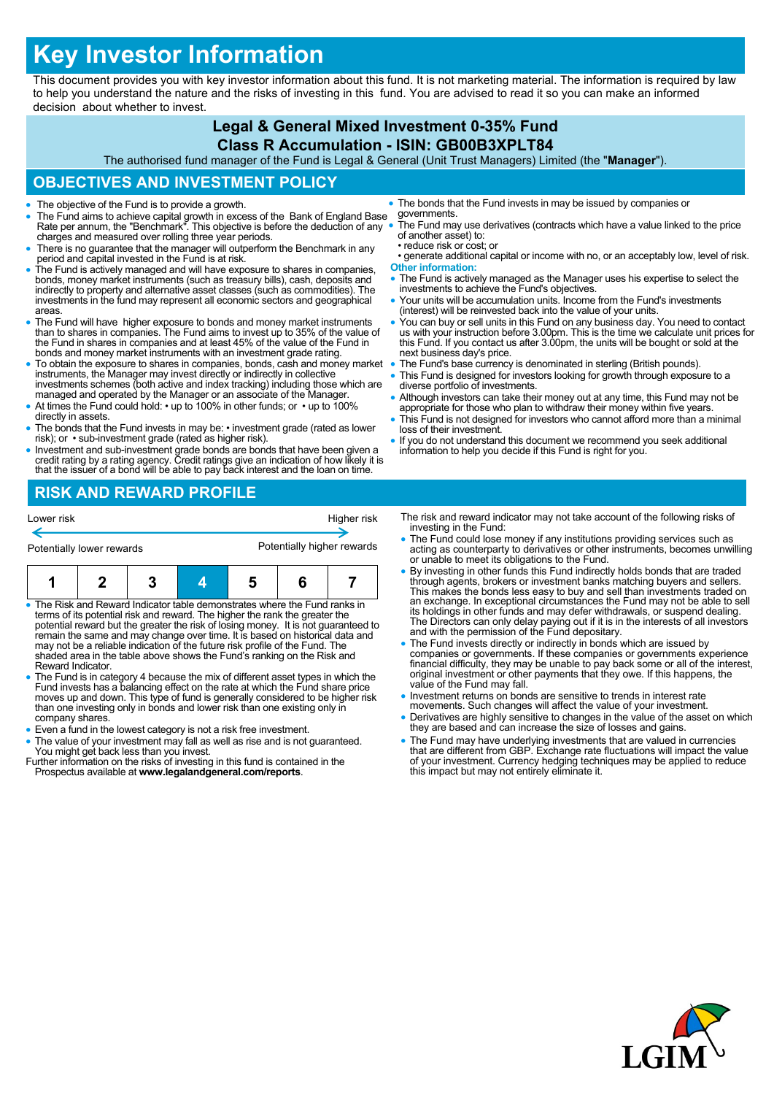# **Key Investor Information**

This document provides you with key investor information about this fund. It is not marketing material. The information is required by law to help you understand the nature and the risks of investing in this fund. You are advised to read it so you can make an informed decision about whether to invest.

#### **Legal & General Mixed Investment 0-35% Fund Class R Accumulation - ISIN: GB00B3XPLT84**

The authorised fund manager of the Fund is Legal & General (Unit Trust Managers) Limited (the "**Manager**").

## **OBJECTIVES AND INVESTMENT POLICY**

- The objective of the Fund is to provide a growth.
- The Fund aims to achieve capital growth in excess of the Bank of England Base Rate per annum, the "Benchmark". This objective is before the deduction of any charges and measured over rolling three year periods.
- There is no guarantee that the manager will outperform the Benchmark in any period and capital invested in the Fund is at risk.
- The Fund is actively managed and will have exposure to shares in companies, bonds, money market instruments (such as treasury bills), cash, deposits and indirectly to property and alternative asset classes (such as commodities). The investments in the fund may represent all economic sectors and geographical areas.
- The Fund will have higher exposure to bonds and money market instruments than to shares in companies. The Fund aims to invest up to 35% of the value of the Fund in shares in companies and at least 45% of the value of the Fund in bonds and money market instruments with an investment grade rating.
- To obtain the exposure to shares in companies, bonds, cash and money market instruments, the Manager may invest directly or indirectly in collective investments schemes (both active and index tracking) including those which are
- managed and operated by the Manager or an associate of the Manager. • At times the Fund could hold: • up to 100% in other funds; or • up to 100% directly in assets.
- The bonds that the Fund invests in may be: investment grade (rated as lower risk); or sub-investment grade (rated as higher risk).
- Investment and sub-investment grade bonds are bonds that have been given a credit rating by a rating agency. Credit ratings give an indication of how likely it is that the issuer of a bond will be able to pay back interest and the loan on time.
- The bonds that the Fund invests in may be issued by companies or governments.
- The Fund may use derivatives (contracts which have a value linked to the price of another asset) to:
- reduce risk or cost; or • generate additional capital or income with no, or an acceptably low, level of risk. **Other information:**
- The Fund is actively managed as the Manager uses his expertise to select the investments to achieve the Fund's objectives.
- Your units will be accumulation units. Income from the Fund's investments (interest) will be reinvested back into the value of your units.
- You can buy or sell units in this Fund on any business day. You need to contact us with your instruction before 3.00pm. This is the time we calculate unit prices for this Fund. If you contact us after 3.00pm, the units will be bought or sold at the next business day's price.
- The Fund's base currency is denominated in sterling (British pounds).
- This Fund is designed for investors looking for growth through exposure to a diverse portfolio of investments.
- Although investors can take their money out at any time, this Fund may not be appropriate for those who plan to withdraw their money within five years.
- This Fund is not designed for investors who cannot afford more than a minimal loss of their investment.
- If you do not understand this document we recommend you seek additional information to help you decide if this Fund is right for you.

# **RISK AND REWARD PROFILE**

| Lower risk                |  |  |  | Higher risk                |  |  |  |
|---------------------------|--|--|--|----------------------------|--|--|--|
| Potentially lower rewards |  |  |  | Potentially higher rewards |  |  |  |
|                           |  |  |  |                            |  |  |  |

|  | Reward Indicator | • The Risk and Reward Indicator table demonstrates where the Fund ranks in<br>terms of its potential risk and reward. The higher the rank the greater the<br>potential reward but the greater the risk of losing money. It is not quaranteed to<br>remain the same and may change over time. It is based on historical data and<br>may not be a reliable indication of the future risk profile of the Fund. The<br>shaded area in the table above shows the Fund's ranking on the Risk and |  |  |
|--|------------------|--------------------------------------------------------------------------------------------------------------------------------------------------------------------------------------------------------------------------------------------------------------------------------------------------------------------------------------------------------------------------------------------------------------------------------------------------------------------------------------------|--|--|

- The Fund is in category 4 because the mix of different asset types in which the Fund invests has a balancing effect on the rate at which the Fund share price moves up and down. This type of fund is generally considered to be higher risk than one investing only in bonds and lower risk than one existing only in company shares.
- Even a fund in the lowest category is not a risk free investment.
- The value of your investment may fall as well as rise and is not guaranteed. You might get back less than you invest.
- Further information on the risks of investing in this fund is contained in the Prospectus available at **www.legalandgeneral.com/reports**.
- The risk and reward indicator may not take account of the following risks of investing in the Fund:
- The Fund could lose money if any institutions providing services such as acting as counterparty to derivatives or other instruments, becomes unwilling or unable to meet its obligations to the Fund.
- By investing in other funds this Fund indirectly holds bonds that are traded through agents, brokers or investment banks matching buyers and sellers. This makes the bonds less easy to buy and sell than investments traded on an exchange. In exceptional circumstances the Fund may not be able to sell its holdings in other funds and may defer withdrawals, or suspend dealing. The Directors can only delay paying out if it is in the interests of all investors and with the permission of the Fund depositary.
- The Fund invests directly or indirectly in bonds which are issued by companies or governments. If these companies or governments experience financial difficulty, they may be unable to pay back some or all of the interest, original investment or other payments that they owe. If this happens, the value of the Fund may fall.
- Investment returns on bonds are sensitive to trends in interest rate movements. Such changes will affect the value of your investment.
- Derivatives are highly sensitive to changes in the value of the asset on which they are based and can increase the size of losses and gains.
- The Fund may have underlying investments that are valued in currencies that are different from GBP. Exchange rate fluctuations will impact the value of your investment. Currency hedging techniques may be applied to reduce this impact but may not entirely eliminate it.